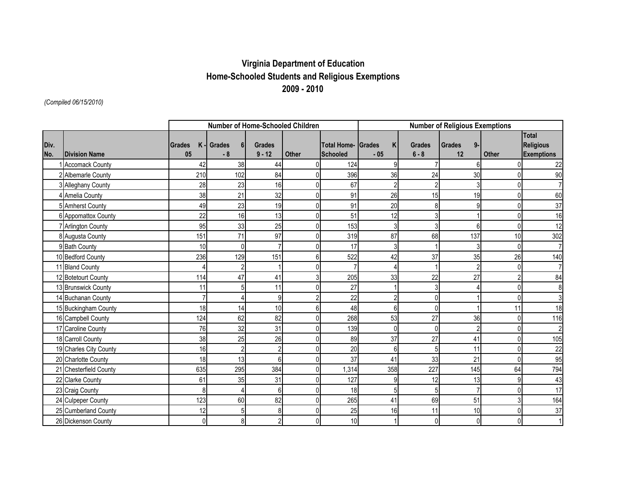## **Virginia Department of Education Home-Schooled Students and Religious Exemptions 2009 - 2010**

*(Compiled 06/15/2010)*

|      |                        | Number of Home-Schooled Children |                          |                |                |                           | <b>Number of Religious Exemptions</b> |                |                |                |                                  |  |  |
|------|------------------------|----------------------------------|--------------------------|----------------|----------------|---------------------------|---------------------------------------|----------------|----------------|----------------|----------------------------------|--|--|
| Div. |                        | $K -$<br><b>Grades</b>           | Grades<br>6 <sup>1</sup> | <b>Grades</b>  |                | <b>Total Home- Grades</b> | K                                     | <b>Grades</b>  | $9-$<br>Grades |                | <b>Total</b><br><b>Religious</b> |  |  |
| No.  | <b>Division Name</b>   | 05                               | $-8$                     | $9 - 12$       | Other          | <b>Schooled</b>           | $-05$                                 | $6 - 8$        | 12             | <b>Other</b>   | <b>Exemptions</b>                |  |  |
|      | <b>Accomack County</b> | 42                               | 38                       | 44             |                | 124                       | 9                                     |                | 61             |                | 22                               |  |  |
|      | 2 Albemarle County     | 210                              | 102                      | 84             | 0              | 396                       | 36                                    | 24             | 30             |                | 90                               |  |  |
|      | 3 Alleghany County     | 28                               | 23                       | 16             | 0              | 67                        | $\overline{2}$                        | $\overline{c}$ | 3 <sup>1</sup> | 0              |                                  |  |  |
|      | 4 Amelia County        | 38                               | 21                       | 32             | 0              | 91                        | 26                                    | 15             | 19             | 0              | 60                               |  |  |
|      | 5 Amherst County       | 49                               | 23                       | 19             | $\overline{0}$ | 91                        | 20                                    | 8              | 9              | $\overline{0}$ | 37                               |  |  |
|      | 6 Appomattox County    | 22                               | 16                       | 13             | $\overline{0}$ | 51                        | 12                                    | 3              |                | 0              | 16                               |  |  |
|      | Arlington County       | 95                               | 33                       | 25             | $\Omega$       | 153                       | $\mathbf{3}$                          | 3              | 6              | $\Omega$       | 12                               |  |  |
|      | 8 Augusta County       | 151                              | 71                       | 97             | 0              | 319                       | 87                                    | 68             | 137            | 10             | 302                              |  |  |
|      | 9 Bath County          | 10                               | $\Omega$                 |                | $\Omega$       | 17                        | 3                                     |                | 3              | 0              |                                  |  |  |
|      | 10 Bedford County      | 236                              | 129                      | 151            | 6              | 522                       | 42                                    | 37             | 35             | 26             | 140                              |  |  |
|      | 11 Bland County        |                                  | $\overline{2}$           |                | U              |                           | 4                                     |                | $\overline{2}$ | 0              |                                  |  |  |
|      | 12 Botetourt County    | 114                              | 47                       | 41             | 3              | 205                       | 33                                    | 22             | 27             |                | 84                               |  |  |
|      | 13 Brunswick County    | 11                               | 5                        | 11             | $\Omega$       | 27                        |                                       | 3              |                | $\Omega$       | 8                                |  |  |
|      | 14 Buchanan County     | 7                                | Δ                        | 9              |                | 22                        | $\overline{2}$                        | $\Omega$       |                |                | 3                                |  |  |
|      | 15 Buckingham County   | 18                               | 14                       | 10             | 6              | 48                        | 6                                     | $\Omega$       |                | 11             | 18                               |  |  |
|      | 16 Campbell County     | 124                              | 62                       | 82             | 0              | 268                       | 53                                    | 27             | 36             | $\overline{0}$ | 116                              |  |  |
|      | 17 Caroline County     | 76                               | 32                       | 31             | $\Omega$       | 139                       | $\mathbf{0}$                          | $\mathbf{0}$   | $\overline{2}$ | $\Omega$       | $\overline{2}$                   |  |  |
|      | 18 Carroll County      | 38                               | 25                       | 26             | U              | 89                        | 37                                    | 27             | 41             |                | 105                              |  |  |
|      | 19 Charles City County | 16                               | $\overline{2}$           | $\overline{2}$ | 0              | 20                        | 6                                     | 5              | 11             | 0              | 22                               |  |  |
|      | 20 Charlotte County    | 18                               | 13                       | 6              | 0              | 37                        | 41                                    | 33             | 21             | 0              | 95                               |  |  |
|      | 21 Chesterfield County | 635                              | 295                      | 384            | $\Omega$       | 1,314                     | 358                                   | 227            | 145            | 64             | 794                              |  |  |
|      | 22 Clarke County       | 61                               | 35                       | 31             |                | 127                       | 9                                     | 12             | 13             | 9              | 43                               |  |  |
|      | 23 Craig County        | 8                                | 4                        | 6              | $\Omega$       | 18                        | 5                                     | 5 <sup>1</sup> | $\overline{7}$ | 0              | 17                               |  |  |
|      | 24 Culpeper County     | 123                              | 60                       | 82             | 0              | 265                       | 41                                    | 69             | 51             | 3              | 164                              |  |  |
|      | 25 Cumberland County   | 12                               | 5                        | 8              | $\Omega$       | 25                        | 16                                    | 11             | 10             | $\Omega$       | 37                               |  |  |
|      | 26 Dickenson County    | $\mathbf{0}$                     | 8                        | $\overline{2}$ | 0              | 10                        |                                       | $\Omega$       | $\overline{0}$ | 0              |                                  |  |  |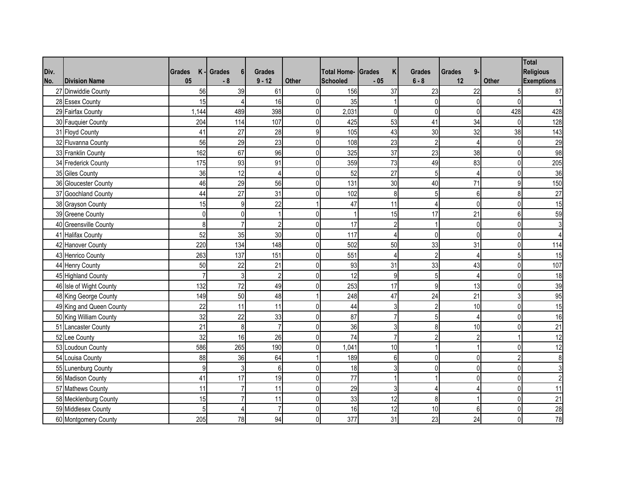|      |                          |                    |                       |                |                |                    |                    |                |                     |                | <b>Total</b>      |
|------|--------------------------|--------------------|-----------------------|----------------|----------------|--------------------|--------------------|----------------|---------------------|----------------|-------------------|
| Div. |                          | K<br><b>Grades</b> | <b>Grades</b><br>6    | <b>Grades</b>  |                | <b>Total Home-</b> | Κ<br><b>Grades</b> | <b>Grades</b>  | <b>Grades</b><br>9- |                | <b>Religious</b>  |
| No.  | <b>Division Name</b>     | 05                 | $-8$                  | $9 - 12$       | Other          | <b>Schooled</b>    | $-05$              | $6 - 8$        | 12                  | <b>Other</b>   | <b>Exemptions</b> |
|      | 27 Dinwiddie County      | 56                 | 39                    | 61             | $\Omega$       | 156                | 37                 | 23             | 22                  |                | 87                |
|      | 28 Essex County          | 15                 |                       | 16             | $\Omega$       | 35                 |                    | $\overline{0}$ | $\overline{0}$      | $\Omega$       |                   |
|      | 29 Fairfax County        | 1,144              | 489                   | 398            | $\overline{0}$ | 2,031              | $\pmb{0}$          | $\overline{0}$ | $\overline{0}$      | 428            | 428               |
|      | 30 Fauquier County       | 204                | 114                   | 107            | $\Omega$       | 425                | 53                 | 41             | 34                  | $\overline{0}$ | 128               |
|      | 31 Floyd County          | 41                 | 27                    | 28             | $\overline{9}$ | 105                | 43                 | 30             | 32                  | 38             | 143               |
|      | 32 Fluvanna County       | 56                 | 29                    | 23             | $\overline{0}$ | 108                | 23                 | $\overline{2}$ | $\overline{4}$      | $\mathbf{0}$   | 29                |
|      | 33 Franklin County       | 162                | 67                    | 96             | $\Omega$       | 325                | 37                 | 23             | 38                  | $\overline{0}$ | 98                |
|      | 34 Frederick County      | 175                | 93                    | 91             | $\Omega$       | 359                | 73                 | 49             | 83                  | $\overline{0}$ | 205               |
|      | 35 Giles County          | 36                 | 12                    | 4              | $\Omega$       | 52                 | 27                 | 5 <sup>1</sup> | $\overline{4}$      | $\Omega$       | 36                |
|      | 36 Gloucester County     | 46                 | 29                    | 56             | $\overline{0}$ | 131                | 30                 | 40             | 71                  | 9              | 150               |
|      | 37 Goochland County      | 44                 | 27                    | 31             | $\mathbf{0}$   | 102                | 8                  | 5 <sup>1</sup> | $6 \mid$            | 8              | 27                |
|      | 38 Grayson County        | 15                 | 9                     | 22             |                | 47                 | 11                 | $\overline{4}$ | $\overline{0}$      | 0              | 15                |
|      | 39 Greene County         | 0                  | $\mathbf 0$           |                | $\overline{0}$ |                    | 15                 | 17             | 21                  | 6              | 59                |
|      | 40 Greensville County    | 8                  | $\overline{7}$        | $\overline{2}$ | $\overline{0}$ | 17                 | $\overline{2}$     |                | $\overline{0}$      | $\overline{0}$ | 3                 |
|      | 41 Halifax County        | 52                 | 35                    | 30             | $\Omega$       | 117                | $\overline{4}$     | $\overline{0}$ | $\overline{0}$      | $\Omega$       |                   |
|      | 42 Hanover County        | 220                | 134                   | 148            | $\Omega$       | 502                | 50                 | 33             | 31                  | $\Omega$       | 114               |
|      | 43 Henrico County        | 263                | 137                   | 151            | $\overline{0}$ | 551                | 4                  | $\overline{2}$ | $\overline{4}$      | 5              | 15                |
|      | 44 Henry County          | 50                 | 22                    | 21             | $\overline{0}$ | 93                 | 31                 | 33             | 43                  | $\overline{0}$ | 107               |
|      | 45 Highland County       |                    | 3                     | $\overline{2}$ | $\overline{0}$ | 12                 | $\boldsymbol{9}$   | 5              | $\overline{4}$      | $\Omega$       | 18                |
|      | 46 Isle of Wight County  | 132                | 72                    | 49             | $\Omega$       | 253                | 17                 | $\overline{9}$ | 13                  | $\Omega$       | 39                |
|      | 48 King George County    | 149                | 50                    | 48             |                | 248                | 47                 | 24             | 21                  | 3              | 95                |
|      | 49 King and Queen County | 22                 | 11                    | 11             | $\overline{0}$ | 44                 | 3                  | $\overline{2}$ | 10                  | $\Omega$       | 15                |
|      | 50 King William County   | 32                 | 22                    | 33             | $\overline{0}$ | 87                 | $\overline{7}$     | $5 \vert$      | $\overline{4}$      | $\overline{0}$ | 16                |
|      | 51 Lancaster County      | 21                 | 8                     | $\overline{7}$ | $\overline{0}$ | 36                 | 3                  | 8              | 10                  | 0              | 21                |
|      | 52 Lee County            | 32                 | 16                    | 26             | $\overline{0}$ | $\overline{74}$    | $\overline{7}$     | $\overline{2}$ | $\overline{2}$      |                | 12                |
|      | 53 Loudoun County        | 586                | 265                   | 190            | $\Omega$       | 1,041              | 10                 |                |                     | $\Omega$       | 12                |
|      | 54 Louisa County         | 88                 | 36                    | 64             |                | 189                | 6                  | $\Omega$       | $\overline{0}$      | 2              | 8                 |
|      | 55 Lunenburg County      | $9\,$              | $\mathbf{3}$          | 6              | $\overline{0}$ | 18                 | 3                  | $\overline{0}$ | $\overline{0}$      | $\mathbf{0}$   | 3                 |
|      | 56 Madison County        | 41                 | 17                    | 19             | $\overline{0}$ | 77                 | 1                  |                | $\overline{0}$      | $\overline{0}$ | $\overline{2}$    |
|      | 57 Mathews County        | 11                 | 7                     | 11             | $\overline{0}$ | 29                 | 3                  | $\overline{4}$ | $\overline{4}$      | $\Omega$       | 11                |
|      | 58 Mecklenburg County    | 15                 | $\overline{7}$        | 11             | $\overline{0}$ | 33                 | 12                 | 8              |                     | $\overline{0}$ | $\overline{21}$   |
|      | 59 Middlesex County      | 5                  | $\boldsymbol{\Delta}$ | $\overline{7}$ | $\overline{0}$ | 16                 | 12                 | 10             | 6 <sup>1</sup>      | $\Omega$       | 28                |
|      | 60 Montgomery County     | 205                | 78                    | 94             | $\overline{0}$ | 377                | 31                 | 23             | 24                  | $\Omega$       | 78                |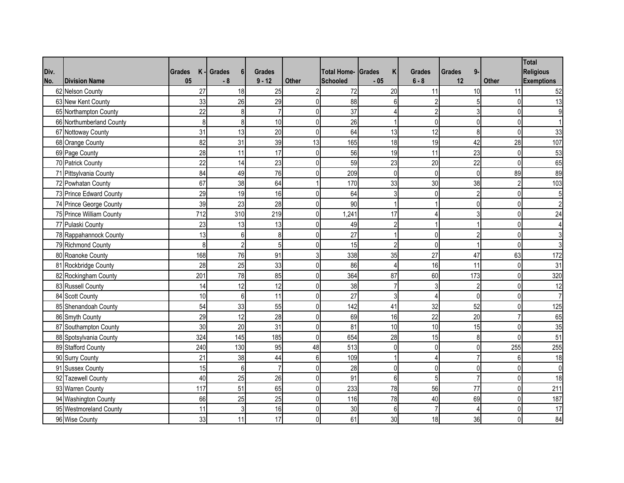|      |                          |               |     |                    |                |                |                    |                    |                |                     |                | <b>Total</b>      |
|------|--------------------------|---------------|-----|--------------------|----------------|----------------|--------------------|--------------------|----------------|---------------------|----------------|-------------------|
| Div. |                          | <b>Grades</b> | K   | <b>Grades</b><br>6 | <b>Grades</b>  |                | <b>Total Home-</b> | K<br><b>Grades</b> | <b>Grades</b>  | 9-<br><b>Grades</b> |                | <b>Religious</b>  |
| No.  | <b>Division Name</b>     | 05            |     | $-8$               | $9 - 12$       | Other          | Schooled           | $-05$              | $6 - 8$        | 12                  | <b>Other</b>   | <b>Exemptions</b> |
|      | 62 Nelson County         |               | 27  | 18                 | 25             | $\overline{2}$ | 72                 | 20                 | 11             | 10                  | 11             | 52                |
|      | 63 New Kent County       |               | 33  | 26                 | 29             | $\Omega$       | 88                 | 6                  | $\overline{2}$ | 5 <sup>1</sup>      | $\Omega$       | 13                |
|      | 65 Northampton County    |               | 22  | 8                  | $\overline{7}$ | $\overline{0}$ | 37                 | 4                  | $\overline{2}$ | 3 <sup>1</sup>      | $\overline{0}$ | 9                 |
|      | 66 Northumberland County |               | 8   | 8                  | 10             | $\overline{0}$ | 26                 |                    | $\overline{0}$ | $\overline{0}$      | $\Omega$       |                   |
|      | 67 Nottoway County       |               | 31  | 13                 | 20             | $\overline{0}$ | 64                 | 13                 | 12             | 8 <sup>1</sup>      | $\mathbf{0}$   | 33                |
|      | 68 Orange County         |               | 82  | 31                 | 39             | 13             | 165                | 18                 | 19             | 42                  | 28             | 107               |
|      | 69 Page County           |               | 28  | 11                 | 17             | $\overline{0}$ | 56                 | 19                 | 11             | 23                  | $\overline{0}$ | 53                |
|      | 70 Patrick County        |               | 22  | 14                 | 23             | $\overline{0}$ | 59                 | 23                 | 20             | 22                  | $\Omega$       | 65                |
|      | 71 Pittsylvania County   |               | 84  | 49                 | 76             | $\Omega$       | 209                | $\Omega$           | $\Omega$       | $\overline{0}$      | 89             | 89                |
|      | 72 Powhatan County       |               | 67  | 38                 | 64             |                | 170                | 33                 | 30             | 38                  | $\overline{2}$ | 103               |
|      | 73 Prince Edward County  |               | 29  | 19                 | 16             | $\overline{0}$ | 64                 | 3                  | $\mathbf{0}$   | $\overline{2}$      | $\overline{0}$ | 5                 |
|      | 74 Prince George County  |               | 39  | 23                 | 28             | $\Omega$       | 90                 |                    |                | $\overline{0}$      | $\Omega$       | $\mathfrak{p}$    |
|      | 75 Prince William County |               | 712 | 310                | 219            | $\mathbf{0}$   | 1,241              | 17                 | 4              | 3                   | $\overline{0}$ | 24                |
|      | 77 Pulaski County        |               | 23  | 13                 | 13             | $\Omega$       | 49                 | $\overline{2}$     |                |                     | $\overline{0}$ |                   |
|      | 78 Rappahannock County   |               | 13  | 6                  | 8              | $\Omega$       | 27                 |                    | $\overline{0}$ | $\overline{2}$      | $\Omega$       |                   |
|      | 79 Richmond County       |               | 8   | $\overline{2}$     | 5              | $\Omega$       | 15                 | $\overline{2}$     | $\Omega$       |                     | $\Omega$       | 3                 |
|      | 80 Roanoke County        |               | 168 | 76                 | 91             | 3              | 338                | 35                 | 27             | 47                  | 63             | 172               |
|      | 81 Rockbridge County     |               | 28  | 25                 | 33             | $\overline{0}$ | 86                 | $\overline{4}$     | 16             | 11                  | $\mathbf{0}$   | 31                |
|      | 82 Rockingham County     |               | 201 | 78                 | 85             | $\overline{0}$ | 364                | 87                 | 60             | 173                 | $\overline{0}$ | 320               |
|      | 83 Russell County        |               | 14  | 12                 | 12             | $\Omega$       | 38                 | $\overline{7}$     | $\mathbf{3}$   | $\overline{2}$      | $\Omega$       | 12                |
|      | 84 Scott County          |               | 10  | 6                  | 11             | $\overline{0}$ | 27                 | 3                  | $\overline{4}$ | $\overline{0}$      | $\Omega$       | $\overline{7}$    |
|      | 85 Shenandoah County     |               | 54  | 33                 | 55             | $\overline{0}$ | 142                | 41                 | 32             | 52                  | $\overline{0}$ | 125               |
|      | 86 Smyth County          |               | 29  | 12                 | 28             | $\overline{0}$ | 69                 | 16                 | 22             | 20                  |                | 65                |
|      | 87 Southampton County    |               | 30  | 20                 | 31             | $\overline{0}$ | 81                 | 10                 | 10             | 15                  | $\overline{0}$ | 35                |
|      | 88 Spotsylvania County   |               | 324 | 145                | 185            | $\overline{0}$ | 654                | 28                 | 15             | 8 <sup>1</sup>      | $\Omega$       | 51                |
|      | 89 Stafford County       |               | 240 | 130                | 95             | 48             | 513                | 0                  | $\overline{0}$ | $\overline{0}$      | 255            | $\overline{255}$  |
|      | 90 Surry County          |               | 21  | 38                 | 44             | 6 <sup>1</sup> | 109                |                    | $\overline{4}$ | $\overline{7}$      | $6 \mid$       | 18                |
|      | 91 Sussex County         |               | 15  | 6                  | $\overline{7}$ | $\overline{0}$ | 28                 | $\pmb{0}$          | $\overline{0}$ | $\overline{0}$      | $\mathbf{0}$   | $\mathbf 0$       |
|      | 92 Tazewell County       |               | 40  | 25                 | 26             | $\overline{0}$ | 91                 | 6                  | 5 <sup>1</sup> | $\overline{7}$      | $\mathbf{0}$   | 18                |
|      | 93 Warren County         |               | 117 | 51                 | 65             | $\Omega$       | 233                | 78                 | 56             | 77                  | $\Omega$       | 211               |
|      | 94 Washington County     |               | 66  | 25                 | 25             | $\overline{0}$ | 116                | 78                 | 40             | 69                  | $\overline{0}$ | 187               |
|      | 95 Westmoreland County   |               | 11  | 3                  | 16             | $\overline{0}$ | 30                 | 6                  | $\overline{7}$ | $\overline{4}$      | $\Omega$       | 17                |
|      | 96 Wise County           |               | 33  | 11                 | 17             | $\overline{0}$ | 61                 | 30                 | 18             | 36                  | 0              | 84                |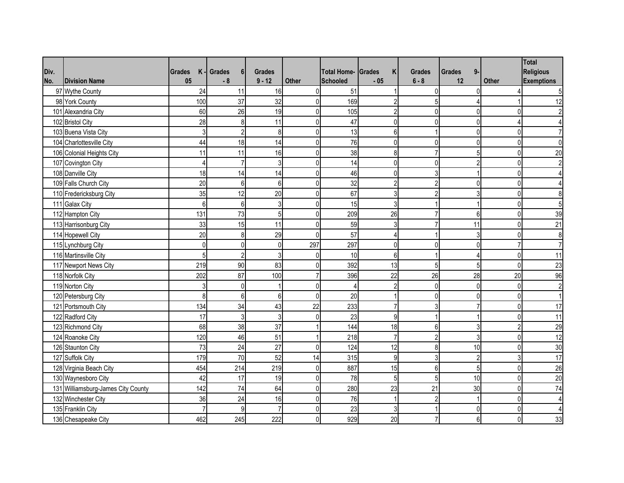|      |                                    |                     |                                 |                |                |                    |                |                |                |          | Total                   |
|------|------------------------------------|---------------------|---------------------------------|----------------|----------------|--------------------|----------------|----------------|----------------|----------|-------------------------|
| Div. |                                    | <b>Grades</b><br>K. | <b>Grades</b><br>6 <sup>1</sup> | <b>Grades</b>  |                | <b>Total Home-</b> | Κ<br>Grades    | <b>Grades</b>  | $9-$<br>Grades |          | <b>Religious</b>        |
| No.  | <b>Division Name</b>               | 05                  | $-8$                            | $9 - 12$       | Other          | <b>Schooled</b>    | $-05$          | $6 - 8$        | 12             | Other    | <b>Exemptions</b>       |
|      | 97 Wythe County                    | 24                  | 11                              | 16             | $\Omega$       | 51                 |                | $\Omega$       | $\Omega$       |          | 5                       |
|      | 98 York County                     | 100                 | 37                              | 32             | $\overline{0}$ | 169                | $\overline{2}$ | 5              | Δ              |          | 12                      |
|      | 101 Alexandria City                | 60                  | 26                              | 19             | 0              | 105                | $\overline{2}$ | $\overline{0}$ | $\mathbf 0$    |          |                         |
|      | 102 Bristol City                   | 28                  | 8                               | 11             | $\overline{0}$ | 47                 | $\mathbf{0}$   | $\Omega$       | $\mathbf{0}$   |          |                         |
|      | 103 Buena Vista City               |                     | 3<br>$\overline{2}$             | 8              | $\Omega$       | 13                 | 6              |                | $\mathbf{0}$   |          |                         |
|      | 104 Charlottesville City           | 44                  | 18                              | 14             | $\overline{0}$ | 76                 | $\Omega$       | $\overline{0}$ | $\mathbf{0}$   |          |                         |
|      | 106 Colonial Heights City          | 11                  | 11                              | 16             | $\overline{0}$ | 38                 | 8              |                | 5              | $\Omega$ | 20                      |
|      | 107 Covington City                 | $\Delta$            |                                 | 3              | $\overline{0}$ | 14                 | $\mathbf{0}$   | $\Omega$       | $\overline{2}$ |          |                         |
|      | 108 Danville City                  | 18                  | 14                              | 14             | $\overline{0}$ | 46                 | $\Omega$       | 3              |                |          |                         |
|      | 109 Falls Church City              | 20                  | 6                               | 6              | $\overline{0}$ | 32                 | $\overline{2}$ | $\overline{2}$ | $\mathbf{0}$   |          |                         |
|      | 110 Fredericksburg City            | 35                  | 12                              | 20             | $\overline{0}$ | 67                 | 3              | $\overline{2}$ | 3              |          |                         |
|      | 111 Galax City                     |                     | 6<br>6                          | 3              | $\overline{0}$ | 15                 | 3              |                |                |          |                         |
|      | 112 Hampton City                   | 131                 | 73                              | 5              | $\overline{0}$ | 209                | 26             | $\overline{7}$ | $6\phantom{a}$ | U        | 39                      |
|      | 113 Harrisonburg City              | 33                  | 15                              | 11             | 0              | 59                 | 3              | 7              | 11             |          | 21                      |
|      | 114 Hopewell City                  | 20                  | 8                               | 29             | $\overline{0}$ | 57                 | $\overline{4}$ |                | 3              |          | 8                       |
|      | 115 Lynchburg City                 | $\mathbf{0}$        | $\mathbf 0$                     | $\mathbf{0}$   | 297            | 297                | $\mathbf 0$    | 0              | 0              |          |                         |
|      | 116 Martinsville City              | 5                   | $\overline{2}$                  | 3              | $\overline{0}$ | 10                 | $6\phantom{1}$ |                | 4              |          | 11                      |
|      | 117 Newport News City              | 219                 | 90                              | 83             | $\Omega$       | 392                | 13             | 5              | 5              | $\Omega$ | 23                      |
|      | 118 Norfolk City                   | 202                 | 87                              | 100            |                | 396                | 22             | 26             | 28             | 20       | 96                      |
|      | 119 Norton City                    | 3                   | $\mathbf{0}$                    |                | $\overline{0}$ |                    | $\overline{2}$ | $\overline{0}$ | $\mathbf 0$    | $\Omega$ | $\overline{2}$          |
|      | 120 Petersburg City                | 8                   | 6                               | 6              | $\overline{0}$ | 20                 |                | $\Omega$       | 0              |          |                         |
|      | 121 Portsmouth City                | 134                 | 34                              | 43             | 22             | 233                | $\overline{7}$ | 3              | $\overline{7}$ |          | 17                      |
|      | 122 Radford City                   | 17                  | $\mathbf{3}$                    | $\overline{3}$ | 0              | 23                 | 9              |                | 1              |          | 11                      |
|      | 123 Richmond City                  | 68                  | 38                              | 37             |                | 144                | 18             | 6              | 3              |          | 29                      |
|      | 124 Roanoke City                   | 120                 | 46                              | 51             |                | 218                | $\overline{7}$ | $\overline{2}$ | $\overline{3}$ | 0        | 12                      |
|      | 126 Staunton City                  | 73                  | 24                              | 27             | $\overline{0}$ | 124                | 12             | 8              | 10             |          | 30                      |
|      | 127 Suffolk City                   | 179                 | 70                              | 52             | 14             | 315                | 9              | 3              | $\overline{c}$ |          | 17                      |
|      | 128 Virginia Beach City            | 454                 | 214                             | 219            | $\overline{0}$ | 887                | 15             | 6              | 5              |          | 26                      |
|      | 130 Waynesboro City                | 42                  | 17                              | 19             | $\overline{0}$ | 78                 | 5              | 5              | 10             |          | 20                      |
|      | 131 Williamsburg-James City County | 142                 | 74                              | 64             | $\overline{0}$ | 280                | 23             | 21             | 30             | U        | 74                      |
|      | 132 Winchester City                | 36                  | 24                              | 16             | $\overline{0}$ | 76                 | $\overline{1}$ | $\overline{2}$ | $\overline{1}$ | $\Omega$ | $\overline{\mathbf{A}}$ |
|      | 135 Franklin City                  |                     | q                               | 7              | $\overline{0}$ | 23                 | 3              |                | $\mathbf{0}$   |          |                         |
|      | 136 Chesapeake City                | 462                 | 245                             | 222            | $\overline{0}$ | 929                | 20             |                | 6              |          | 33                      |